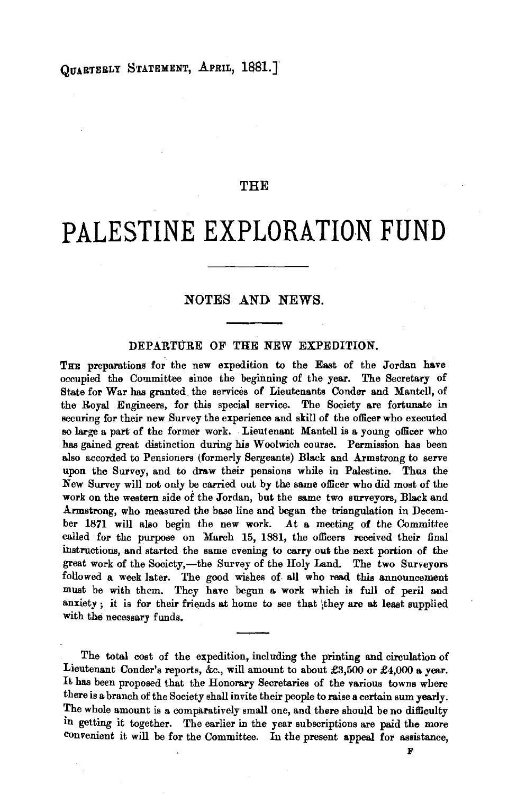QUARTERLY STATEMENT, APRIL, 1881. ]

## THE

## **PALESTINE EXPLORATION FUND**

## NOTES AND NEWS.

## DEPARTURE OF THE NEW EXPEDITION.

THE preparations for the new expedition to the East of the Jordan have occupied the Committee since the beginning of the year. The Secretary of State for War has granted, the services of Lieutenants Conder and Mantell, of the Royal Engineers, for this special service. The Society are fortunate in securing for their new Survey the experience and skill of the officer who executed so large a part of the former work. Lieutenant Mantell is a young officer who has gained great distinction during his W oolwich course. Permission has been also accorded to Pensioners (formerly Sergeants) Black and Armstrong to serve upon the Survey, and to draw their pensions while in Palestine. Thus the New Survey will not only be carried out by the same officer who did most of the work on the western side of the Jordan, but the same two surveyors, Black and Armstrong, who measured the base line and began the triangulation in Decemher 1871 will also begin the new work. At a. meeting of the Committee called for the purpose on March 15, 1881, the officers received their final instructions, and started the same evening to carry out the next portion of the great work of the Society,-the Survey of the Holy Land. The two Surveyors followed a week later. The good wishes of all who read this announcement must be with them. They have begun a work which is full of peril and anxiety; it is for their friends at home to see that they are at least supplied with the necessary funds.

The total cost of the expedition, including the printing and circulation of Lieutenant Conder's reports, &c., will amount to about £3,500 or £4,000 a. year. It has been proposed that the Honorary Secretaries of the various towns where there is a branch of the Society shall invite their people to raise a certain sum yearly. The whole amount is a comparatively small one, and there should be no difficulty in getting it together. The earlier in the year subscriptions are paid the more convenient it will be for the Committee. In the present appeal for assistance,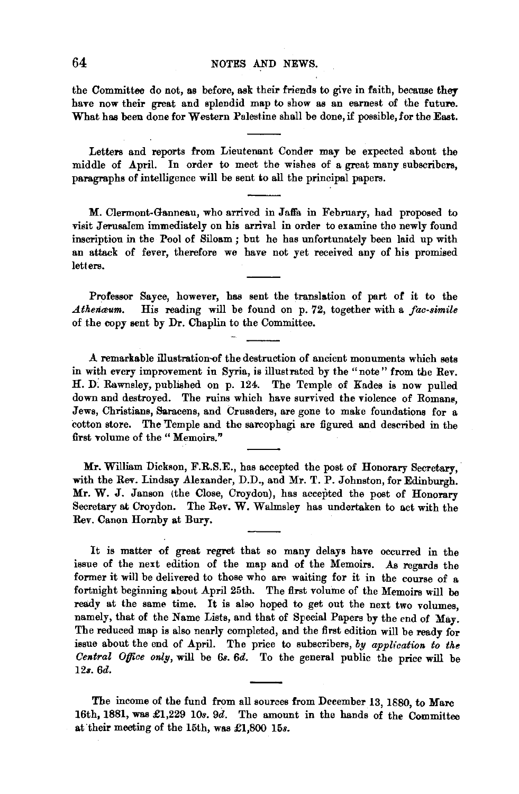the Committee do not, as before, ask their friends to give in faith, because they have now their great and splendid map to show as an earnest of the future. What has been done for Western Palestine shall be done, if possible, for the East.

Letters and reports from Lieutenant Conder may be expected about the middle of April. In order to meet the wishes of a great many subscribers, paragraphs of intelligence will be sent to all the principal papers.

M. Clermont-Ganneau, who arrived in Jalfa in February, had proposed to visit Jerusalem immediately on his arrival in order to examine the newly found inscription in the Pool of Siloam ; but he has unfortunately been laid up with an attack of fever, therefore we have not yet received any of his promised letters.

Professor Sayce, however, has sent the translation of part of it to the Athenaum. His reading will be found on 0.72, together with a fac-simile *Athenmum.* His reading will be found on p. 72, together with a *fac-simile*  of the copy sent by Dr. Chaplin to the Committee.

A remarkable illustration-of the destruction of ancient monuments which sets in with every improvement in Syria, is illustrated by the "note" from the Rev. H. D: Rawnsley, published on p. 124. The Temple of Kades is now pulled down and destroyed. The ruins which have survived the violence of Romans, Jews, Christians, Saracens, and Crusaders, are gone to make foundations for a cotton store. The Temple and the sarcophagi are figured and described in the first volume of the "Memoirs."

Mr. William Dickson, F.R.S.E., has accepted the post of Honorary Secretary, with the Rev. Lindsay Alexander, D.D., and Mr. T. P. Johnston, for Edinburgh. Mr. W. J. Janson (the Close, Croydon), has accepted the post of Honorary Secretary at Croydon. The Rev. W. Walmsley has undertaken to act with the Rev. Canon Hornby at Bury.

It is matter of great regret that so many delays have occurred in the issue of the next edition of the map and of the Memoirs. As regards the former it will be delivered to those who are waiting for it in the course of a fortnight beginning about April 25th. The first volume of the Memoirs will be ready at the same time. It is also hoped to get out the next two volumes, namely, that of the Name Lists, and that of Special Papers by the end of May. The reduced map is also nearly completed, and the first edition will be ready for issue about the end of April. The price to subscribers, *by application to the Central Offlce only,* will be *6s. 6d.* To the general public the price will be *12s. 6d.* 

The income of the fund from all sources from December 13, 1880, to Marc 16th, 1881, was £1,229 10s. 9d. The amount in the hands of the Committee at their meeting of the 15th, was £1,800 15s.